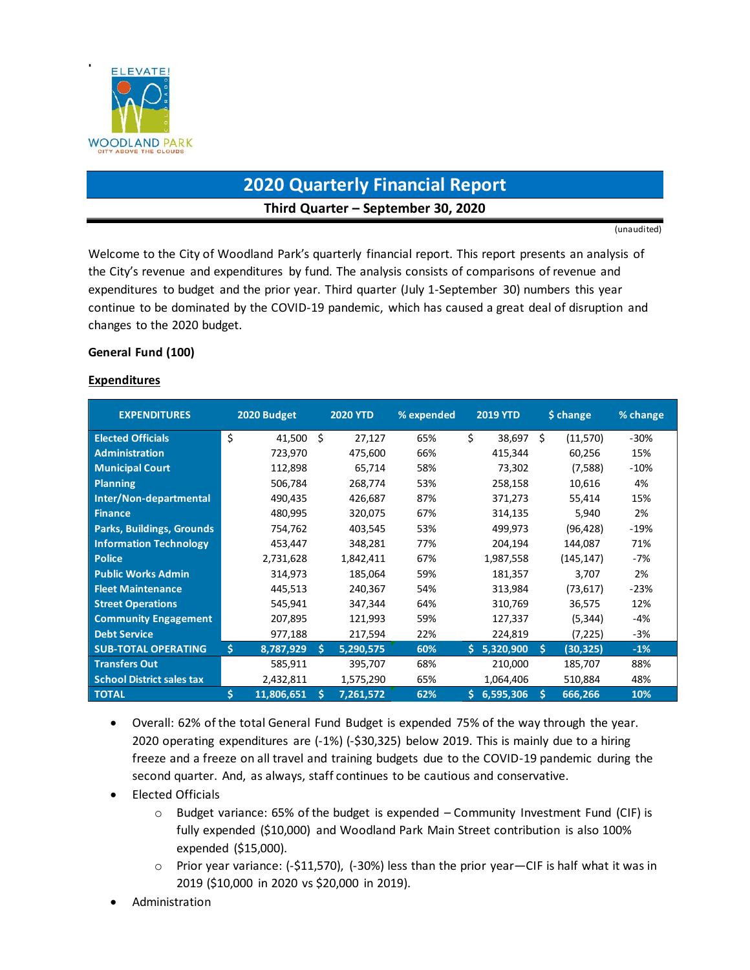

# **2020 Quarterly Financial Report Third Quarter – September 30, 2020**

(unaudited)

Welcome to the City of Woodland Park's quarterly financial report. This report presents an analysis of the City's revenue and expenditures by fund. The analysis consists of comparisons of revenue and expenditures to budget and the prior year. Third quarter (July 1-September 30) numbers this year continue to be dominated by the COVID-19 pandemic, which has caused a great deal of disruption and changes to the 2020 budget.

### **General Fund (100)**

#### **Expenditures**

| <b>EXPENDITURES</b>              |     | 2020 Budget |    | <b>2020 YTD</b> | % expended |    | <b>2019 YTD</b> | \$ change |            | % change |
|----------------------------------|-----|-------------|----|-----------------|------------|----|-----------------|-----------|------------|----------|
| <b>Elected Officials</b>         | Ś.  | 41,500      | Ŝ. | 27,127          | 65%        | \$ | 38,697          | Ś.        | (11,570)   | $-30%$   |
| <b>Administration</b>            |     | 723,970     |    | 475,600         | 66%        |    | 415,344         |           | 60,256     | 15%      |
| <b>Municipal Court</b>           |     | 112,898     |    | 65,714          | 58%        |    | 73,302          |           | (7,588)    | $-10%$   |
| <b>Planning</b>                  |     | 506,784     |    | 268,774         | 53%        |    | 258,158         |           | 10,616     | 4%       |
| Inter/Non-departmental           |     | 490,435     |    | 426,687         | 87%        |    | 371,273         |           | 55,414     | 15%      |
| <b>Finance</b>                   |     | 480,995     |    | 320,075         | 67%        |    | 314,135         |           | 5,940      | 2%       |
| <b>Parks, Buildings, Grounds</b> |     | 754,762     |    | 403,545         | 53%        |    | 499,973         |           | (96, 428)  | $-19%$   |
| <b>Information Technology</b>    |     | 453,447     |    | 348,281         | 77%        |    | 204,194         |           | 144,087    | 71%      |
| <b>Police</b>                    |     | 2,731,628   |    | 1,842,411       | 67%        |    | 1,987,558       |           | (145, 147) | -7%      |
| <b>Public Works Admin</b>        |     | 314,973     |    | 185,064         | 59%        |    | 181,357         |           | 3,707      | 2%       |
| <b>Fleet Maintenance</b>         |     | 445,513     |    | 240,367         | 54%        |    | 313,984         |           | (73, 617)  | $-23%$   |
| <b>Street Operations</b>         |     | 545,941     |    | 347,344         | 64%        |    | 310,769         |           | 36,575     | 12%      |
| <b>Community Engagement</b>      |     | 207,895     |    | 121,993         | 59%        |    | 127,337         |           | (5, 344)   | -4%      |
| <b>Debt Service</b>              |     | 977,188     |    | 217,594         | 22%        |    | 224,819         |           | (7, 225)   | $-3%$    |
| <b>SUB-TOTAL OPERATING</b>       | \$. | 8,787,929   | Ŝ. | 5,290,575       | 60%        |    | \$5,320,900     | Ŝ.        | (30, 325)  | $-1%$    |
| <b>Transfers Out</b>             |     | 585,911     |    | 395,707         | 68%        |    | 210,000         |           | 185,707    | 88%      |
| <b>School District sales tax</b> |     | 2,432,811   |    | 1,575,290       | 65%        |    | 1,064,406       |           | 510,884    | 48%      |
| <b>TOTAL</b>                     | Ś.  | 11,806,651  | Ś  | 7,261,572       | 62%        | Ŝ. | 6,595,306       | Š.        | 666,266    | 10%      |

- Overall: 62% of the total General Fund Budget is expended 75% of the way through the year. 2020 operating expenditures are (-1%) (-\$30,325) below 2019. This is mainly due to a hiring freeze and a freeze on all travel and training budgets due to the COVID-19 pandemic during the second quarter. And, as always, staff continues to be cautious and conservative.
- Elected Officials
	- $\circ$  Budget variance: 65% of the budget is expended Community Investment Fund (CIF) is fully expended (\$10,000) and Woodland Park Main Street contribution is also 100% expended (\$15,000).
	- $\circ$  Prior year variance: (-\$11,570), (-30%) less than the prior year—CIF is half what it was in 2019 (\$10,000 in 2020 vs \$20,000 in 2019).
- Administration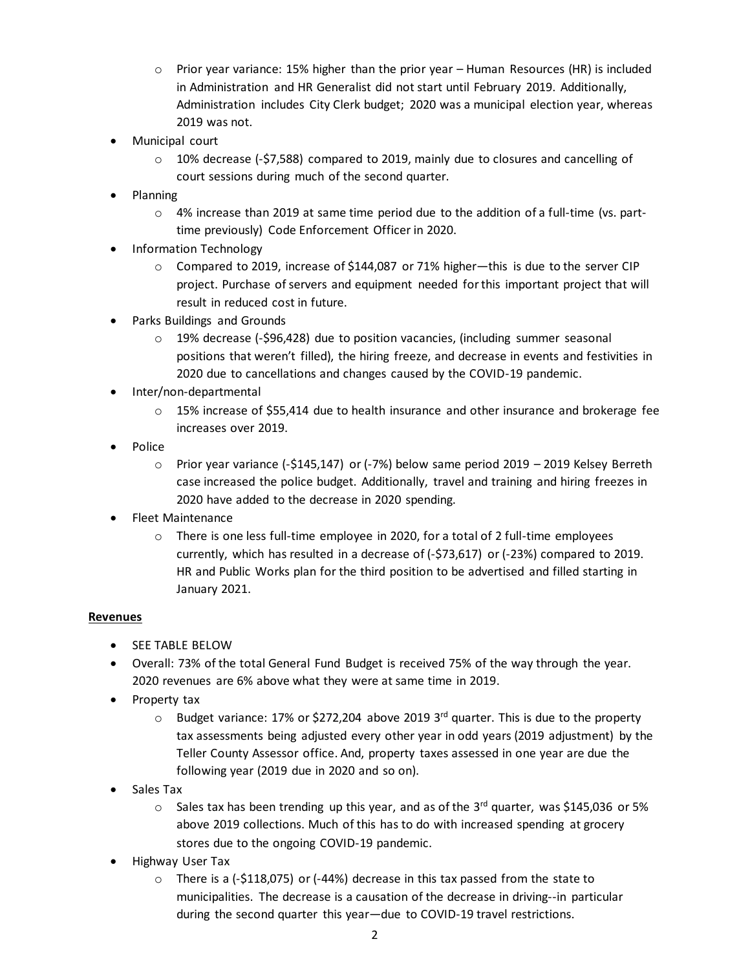- $\circ$  Prior year variance: 15% higher than the prior year Human Resources (HR) is included in Administration and HR Generalist did not start until February 2019. Additionally, Administration includes City Clerk budget; 2020 was a municipal election year, whereas 2019 was not.
- Municipal court
	- $\circ$  10% decrease (-\$7,588) compared to 2019, mainly due to closures and cancelling of court sessions during much of the second quarter.
- Planning
	- $\circ$  4% increase than 2019 at same time period due to the addition of a full-time (vs. parttime previously) Code Enforcement Officer in 2020.
- Information Technology
	- o Compared to 2019, increase of \$144,087 or 71% higher—this is due to the server CIP project. Purchase of servers and equipment needed for this important project that will result in reduced cost in future.
- Parks Buildings and Grounds
	- $\circ$  19% decrease (-\$96,428) due to position vacancies, (including summer seasonal positions that weren't filled), the hiring freeze, and decrease in events and festivities in 2020 due to cancellations and changes caused by the COVID-19 pandemic.
- Inter/non-departmental
	- o 15% increase of \$55,414 due to health insurance and other insurance and brokerage fee increases over 2019.
- Police
	- $\circ$  Prior year variance (-\$145,147) or (-7%) below same period 2019 2019 Kelsey Berreth case increased the police budget. Additionally, travel and training and hiring freezes in 2020 have added to the decrease in 2020 spending.
- Fleet Maintenance
	- $\circ$  There is one less full-time employee in 2020, for a total of 2 full-time employees currently, which has resulted in a decrease of (-\$73,617) or (-23%) compared to 2019. HR and Public Works plan for the third position to be advertised and filled starting in January 2021.

### **Revenues**

- **•** SEE TABLE BELOW
- Overall: 73% of the total General Fund Budget is received 75% of the way through the year. 2020 revenues are 6% above what they were at same time in 2019.
- Property tax
	- o Budget variance: 17% or \$272,204 above 2019 3<sup>rd</sup> quarter. This is due to the property tax assessments being adjusted every other year in odd years (2019 adjustment) by the Teller County Assessor office. And, property taxes assessed in one year are due the following year (2019 due in 2020 and so on).
- Sales Tax
	- $\circ$  Sales tax has been trending up this year, and as of the 3<sup>rd</sup> quarter, was \$145,036 or 5% above 2019 collections. Much of this has to do with increased spending at grocery stores due to the ongoing COVID-19 pandemic.
- Highway User Tax
	- $\circ$  There is a (-\$118,075) or (-44%) decrease in this tax passed from the state to municipalities. The decrease is a causation of the decrease in driving--in particular during the second quarter this year—due to COVID-19 travel restrictions.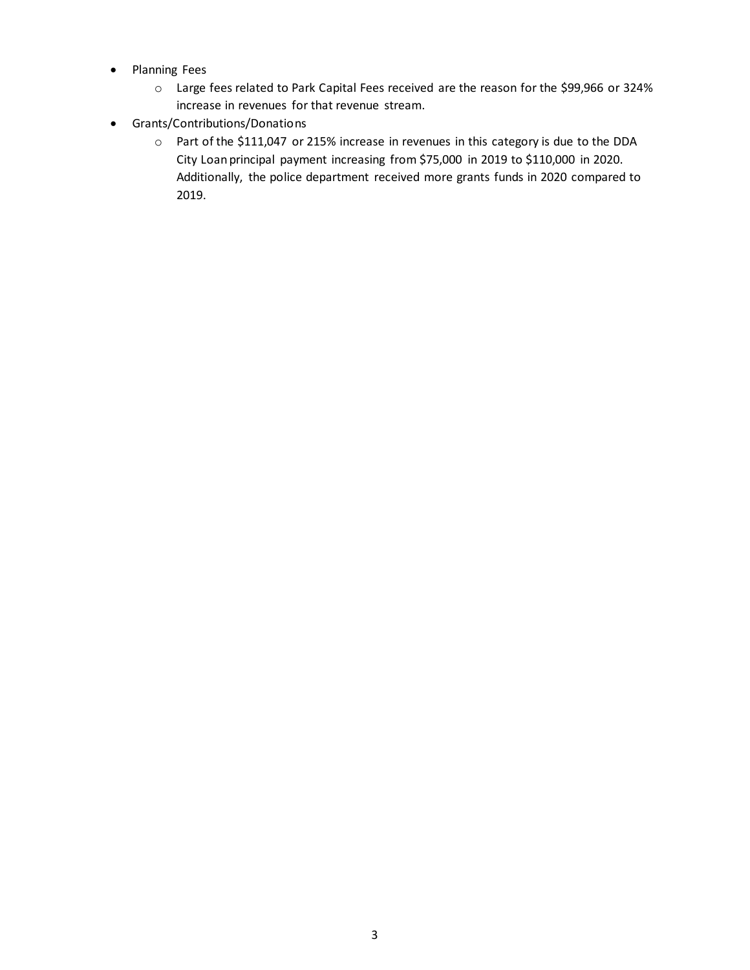- Planning Fees
	- o Large fees related to Park Capital Fees received are the reason for the \$99,966 or 324% increase in revenues for that revenue stream.
- Grants/Contributions/Donations
	- o Part of the \$111,047 or 215% increase in revenues in this category is due to the DDA City Loan principal payment increasing from \$75,000 in 2019 to \$110,000 in 2020. Additionally, the police department received more grants funds in 2020 compared to 2019.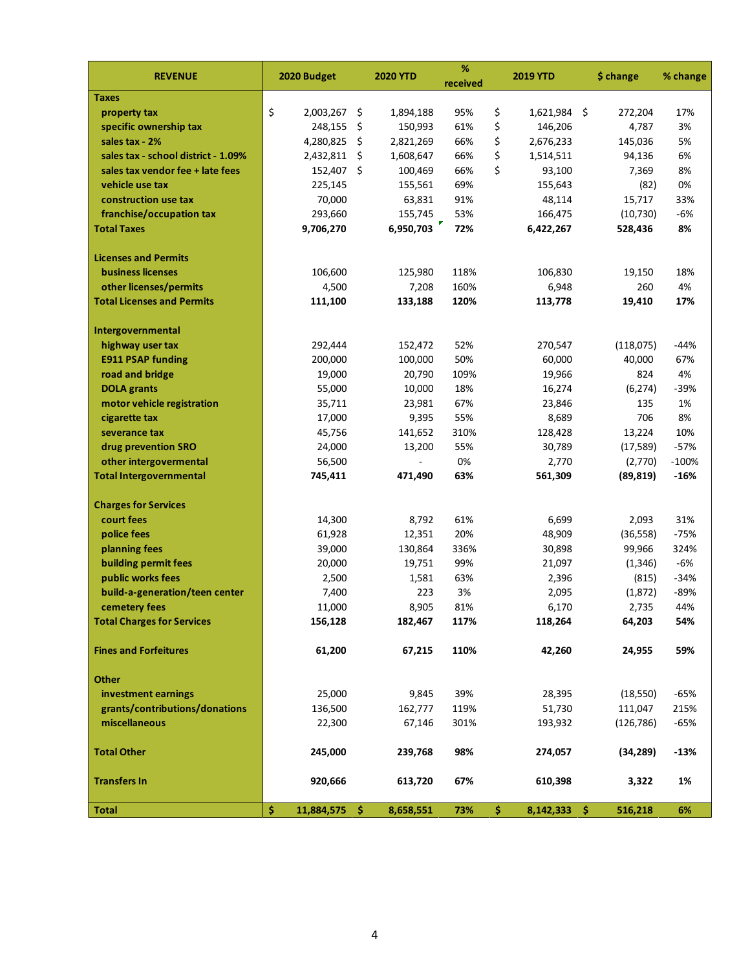| <b>REVENUE</b>                      | 2020 Budget      |     | <b>2020 YTD</b> | %<br>received |     | <b>2019 YTD</b> | \$ change  | % change |
|-------------------------------------|------------------|-----|-----------------|---------------|-----|-----------------|------------|----------|
| <b>Taxes</b>                        |                  |     |                 |               |     |                 |            |          |
| property tax                        | \$<br>2,003,267  | -\$ | 1,894,188       | 95%           | \$  | $1,621,984$ \$  | 272,204    | 17%      |
| specific ownership tax              | 248,155          | \$  | 150,993         | 61%           | \$  | 146,206         | 4,787      | 3%       |
| sales tax - 2%                      | 4,280,825        | Ŝ.  | 2,821,269       | 66%           | \$  | 2,676,233       | 145,036    | 5%       |
| sales tax - school district - 1.09% | 2,432,811        | Ŝ.  | 1,608,647       | 66%           | \$  | 1,514,511       | 94,136     | 6%       |
| sales tax vendor fee + late fees    | 152,407 \$       |     | 100,469         | 66%           | \$  | 93,100          | 7,369      | 8%       |
| vehicle use tax                     | 225,145          |     | 155,561         | 69%           |     | 155,643         | (82)       | 0%       |
| construction use tax                | 70,000           |     | 63,831          | 91%           |     | 48,114          | 15,717     | 33%      |
| franchise/occupation tax            | 293,660          |     | 155,745         | 53%           |     | 166,475         | (10, 730)  | $-6%$    |
| <b>Total Taxes</b>                  | 9,706,270        |     | 6,950,703       | 72%           |     | 6,422,267       | 528,436    | 8%       |
| <b>Licenses and Permits</b>         |                  |     |                 |               |     |                 |            |          |
| <b>business licenses</b>            | 106,600          |     | 125,980         | 118%          |     | 106,830         | 19,150     | 18%      |
| other licenses/permits              | 4,500            |     | 7,208           | 160%          |     | 6,948           | 260        | 4%       |
| <b>Total Licenses and Permits</b>   | 111,100          |     | 133,188         | 120%          |     | 113,778         | 19,410     | 17%      |
| Intergovernmental                   |                  |     |                 |               |     |                 |            |          |
| highway user tax                    | 292,444          |     | 152,472         | 52%           |     | 270,547         | (118,075)  | $-44%$   |
| <b>E911 PSAP funding</b>            | 200,000          |     | 100,000         | 50%           |     | 60,000          | 40,000     | 67%      |
| road and bridge                     | 19,000           |     | 20,790          | 109%          |     | 19,966          | 824        | 4%       |
| <b>DOLA</b> grants                  | 55,000           |     | 10,000          | 18%           |     | 16,274          | (6, 274)   | $-39%$   |
| motor vehicle registration          | 35,711           |     | 23,981          | 67%           |     | 23,846          | 135        | 1%       |
| cigarette tax                       | 17,000           |     | 9,395           | 55%           |     | 8,689           | 706        | 8%       |
| severance tax                       | 45,756           |     | 141,652         | 310%          |     | 128,428         | 13,224     | 10%      |
| drug prevention SRO                 | 24,000           |     | 13,200          | 55%           |     | 30,789          | (17, 589)  | $-57%$   |
| other intergovermental              | 56,500           |     |                 | 0%            |     | 2,770           | (2,770)    | $-100%$  |
| <b>Total Intergovernmental</b>      | 745,411          |     | 471,490         | 63%           |     | 561,309         | (89, 819)  | $-16%$   |
| <b>Charges for Services</b>         |                  |     |                 |               |     |                 |            |          |
| court fees                          | 14,300           |     | 8,792           | 61%           |     | 6,699           | 2,093      | 31%      |
| police fees                         | 61,928           |     | 12,351          | 20%           |     | 48,909          | (36, 558)  | $-75%$   |
| planning fees                       | 39,000           |     | 130,864         | 336%          |     | 30,898          | 99,966     | 324%     |
| building permit fees                | 20,000           |     | 19,751          | 99%           |     | 21,097          | (1, 346)   | $-6%$    |
| public works fees                   | 2,500            |     | 1,581           | 63%           |     | 2,396           | (815)      | $-34%$   |
| build-a-generation/teen center      | 7,400            |     | 223             | 3%            |     | 2,095           | (1,872)    | -89%     |
| cemetery fees                       | 11,000           |     | 8,905           | 81%           |     | 6,170           | 2,735      | 44%      |
| <b>Total Charges for Services</b>   | 156,128          |     | 182,467         | 117%          |     | 118,264         | 64,203     | 54%      |
| <b>Fines and Forfeitures</b>        | 61,200           |     | 67,215          | 110%          |     | 42,260          | 24,955     | 59%      |
| <b>Other</b>                        |                  |     |                 |               |     |                 |            |          |
| investment earnings                 | 25,000           |     | 9,845           | 39%           |     | 28,395          | (18, 550)  | $-65%$   |
| grants/contributions/donations      | 136,500          |     | 162,777         | 119%          |     | 51,730          | 111,047    | 215%     |
| miscellaneous                       | 22,300           |     | 67,146          | 301%          |     | 193,932         | (126, 786) | $-65%$   |
| <b>Total Other</b>                  | 245,000          |     | 239,768         | 98%           |     | 274,057         | (34, 289)  | $-13%$   |
| <b>Transfers In</b>                 | 920,666          |     | 613,720         | 67%           |     | 610,398         | 3,322      | 1%       |
| <b>Total</b>                        | \$<br>11,884,575 | Ŝ.  | 8,658,551       | 73%           | \$. | $8,142,333$ \$  | 516,218    | 6%       |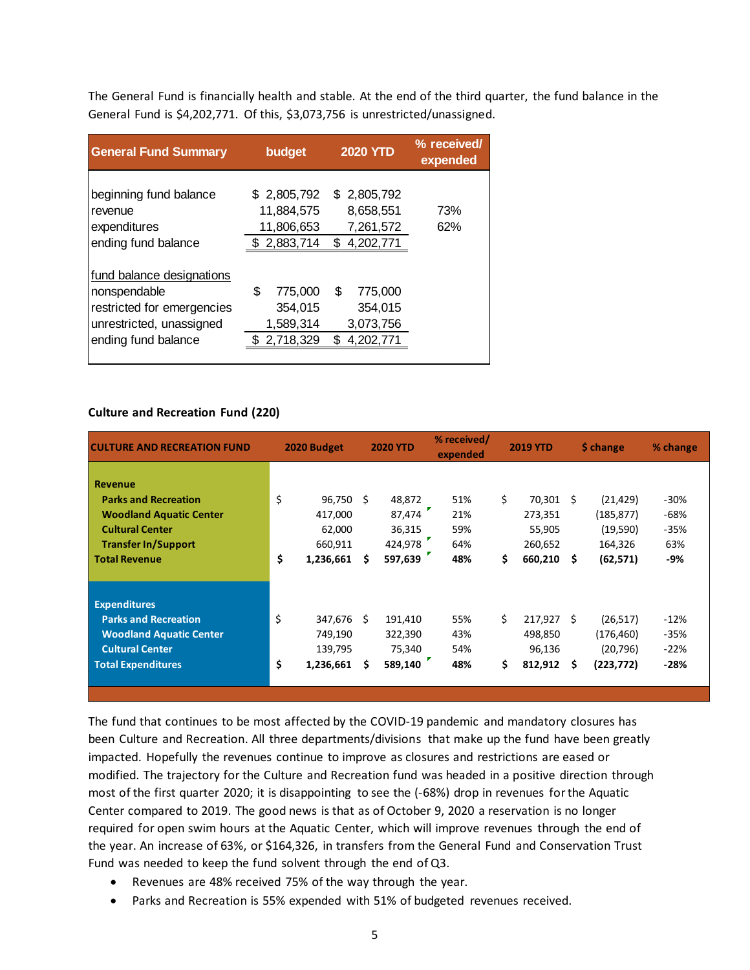The General Fund is financially health and stable. At the end of the third quarter, the fund balance in the General Fund is \$4,202,771. Of this, \$3,073,756 is unrestricted/unassigned.

| <b>General Fund Summary</b>                                                                                                | budget                                                     | <b>2020 YTD</b>                                          | % received/<br>expended |
|----------------------------------------------------------------------------------------------------------------------------|------------------------------------------------------------|----------------------------------------------------------|-------------------------|
| beginning fund balance<br>revenue<br>expenditures<br>ending fund balance                                                   | \$2,805,792<br>11,884,575<br>11,806,653<br>2,883,714<br>S. | \$2,805,792<br>8,658,551<br>7,261,572<br>4,202,771<br>\$ | 73%<br>62%              |
| fund balance designations<br>nonspendable<br>restricted for emergencies<br>unrestricted, unassigned<br>ending fund balance | \$<br>775,000<br>354,015<br>1,589,314<br>2,718,329         | \$<br>775,000<br>354,015<br>3,073,756<br>S<br>4,202,771  |                         |

#### **Culture and Recreation Fund (220)**

| <b>CULTURE AND RECREATION FUND</b>                                                                                                                              |          | 2020 Budget                                         |         | <b>2020 YTD</b>                                  | % received/<br>expended         |          | <b>2019 YTD</b>                                           |    | \$ change                                                   | % change                                 |  |
|-----------------------------------------------------------------------------------------------------------------------------------------------------------------|----------|-----------------------------------------------------|---------|--------------------------------------------------|---------------------------------|----------|-----------------------------------------------------------|----|-------------------------------------------------------------|------------------------------------------|--|
| <b>Revenue</b><br><b>Parks and Recreation</b><br><b>Woodland Aquatic Center</b><br><b>Cultural Center</b><br><b>Transfer In/Support</b><br><b>Total Revenue</b> | \$<br>\$ | 96,750<br>417,000<br>62,000<br>660,911<br>1,236,661 | Ŝ.<br>Ŝ | 48,872<br>87,474<br>36,315<br>424,978<br>597,639 | 51%<br>21%<br>59%<br>64%<br>48% | \$<br>\$ | 70,301 \$<br>273,351<br>55,905<br>260,652<br>$660,210$ \$ |    | (21, 429)<br>(185, 877)<br>(19,590)<br>164,326<br>(62, 571) | $-30%$<br>$-68%$<br>$-35%$<br>63%<br>-9% |  |
| <b>Expenditures</b><br><b>Parks and Recreation</b><br><b>Woodland Aquatic Center</b><br><b>Cultural Center</b><br><b>Total Expenditures</b>                     | \$<br>\$ | 347,676<br>749,190<br>139,795<br>1,236,661          | Ŝ.<br>Ś | 191,410<br>322,390<br>75,340<br>589,140          | 55%<br>43%<br>54%<br>48%        | \$<br>\$ | $217,927$ \$<br>498,850<br>96,136<br>812,912              | -S | (26, 517)<br>(176, 460)<br>(20, 796)<br>(223, 772)          | $-12%$<br>$-35%$<br>$-22%$<br>$-28%$     |  |

The fund that continues to be most affected by the COVID-19 pandemic and mandatory closures has been Culture and Recreation. All three departments/divisions that make up the fund have been greatly impacted. Hopefully the revenues continue to improve as closures and restrictions are eased or modified. The trajectory for the Culture and Recreation fund was headed in a positive direction through most of the first quarter 2020; it is disappointing to see the (-68%) drop in revenues for the Aquatic Center compared to 2019. The good news is that as of October 9, 2020 a reservation is no longer required for open swim hours at the Aquatic Center, which will improve revenues through the end of the year. An increase of 63%, or \$164,326, in transfers from the General Fund and Conservation Trust Fund was needed to keep the fund solvent through the end of Q3.

- Revenues are 48% received 75% of the way through the year.
- Parks and Recreation is 55% expended with 51% of budgeted revenues received.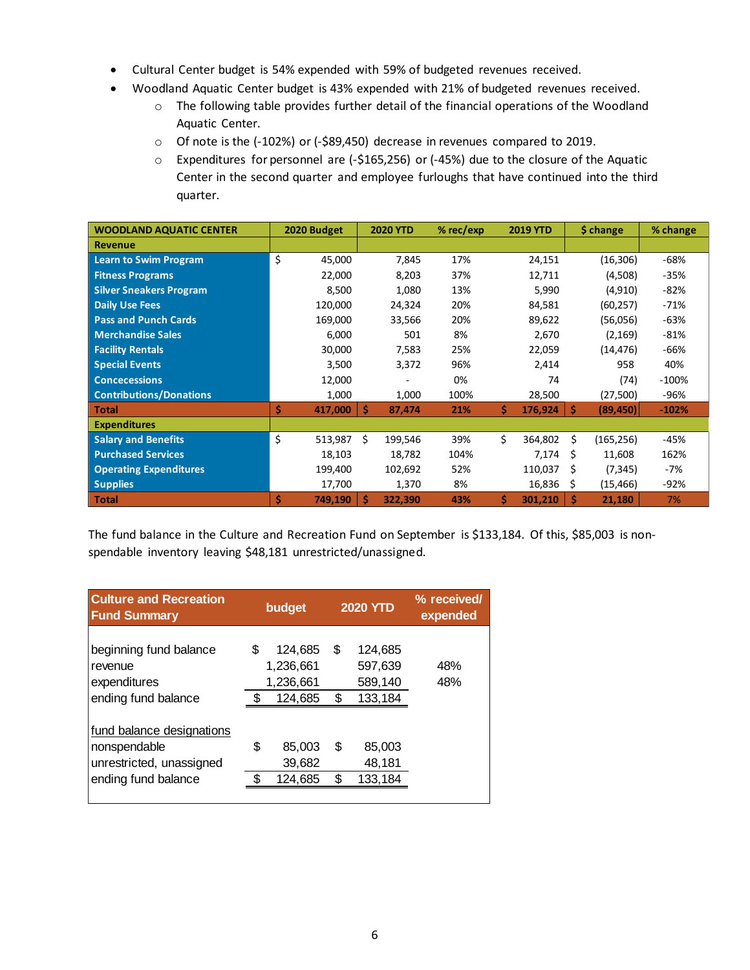- Cultural Center budget is 54% expended with 59% of budgeted revenues received.
- Woodland Aquatic Center budget is 43% expended with 21% of budgeted revenues received.
	- o The following table provides further detail of the financial operations of the Woodland Aquatic Center.
	- o Of note is the (-102%) or (-\$89,450) decrease in revenues compared to 2019.
	- $\circ$  Expenditures for personnel are (-\$165,256) or (-45%) due to the closure of the Aquatic Center in the second quarter and employee furloughs that have continued into the third quarter.

| <b>WOODLAND AQUATIC CENTER</b> | 2020 Budget   | <b>2020 YTD</b> | $%$ rec/exp | <b>2019 YTD</b> | \$ change       | % change |
|--------------------------------|---------------|-----------------|-------------|-----------------|-----------------|----------|
| <b>Revenue</b>                 |               |                 |             |                 |                 |          |
| <b>Learn to Swim Program</b>   | \$<br>45,000  | 7,845           | 17%         | 24,151          | (16, 306)       | $-68%$   |
| <b>Fitness Programs</b>        | 22,000        | 8,203           | 37%         | 12,711          | (4,508)         | $-35%$   |
| <b>Silver Sneakers Program</b> | 8,500         | 1,080           | 13%         | 5,990           | (4,910)         | $-82%$   |
| <b>Daily Use Fees</b>          | 120,000       | 24,324          | 20%         | 84,581          | (60, 257)       | $-71%$   |
| <b>Pass and Punch Cards</b>    | 169,000       | 33,566          | 20%         | 89,622          | (56,056)        | $-63%$   |
| <b>Merchandise Sales</b>       | 6,000         | 501             | 8%          | 2,670           | (2, 169)        | $-81%$   |
| <b>Facility Rentals</b>        | 30,000        | 7,583           | 25%         | 22,059          | (14, 476)       | $-66%$   |
| <b>Special Events</b>          | 3,500         | 3,372           | 96%         | 2,414           | 958             | 40%      |
| <b>Concecessions</b>           | 12,000        |                 | 0%          | 74              | (74)            | $-100%$  |
| <b>Contributions/Donations</b> | 1,000         | 1,000           | 100%        | 28,500          | (27,500)        | -96%     |
| <b>Total</b>                   | Ś<br>417,000  | Ŝ<br>87,474     | 21%         | Ś.<br>176,924   | Ś<br>(89, 450)  | $-102%$  |
| <b>Expenditures</b>            |               |                 |             |                 |                 |          |
| <b>Salary and Benefits</b>     | \$<br>513,987 | Ś<br>199,546    | 39%         | Ś.<br>364,802   | Ś<br>(165, 256) | $-45%$   |
| <b>Purchased Services</b>      | 18,103        | 18,782          | 104%        | 7,174           | 11,608<br>S     | 162%     |
| <b>Operating Expenditures</b>  | 199,400       | 102,692         | 52%         | 110,037         | Ŝ.<br>(7, 345)  | -7%      |
| <b>Supplies</b>                | 17,700        | 1,370           | 8%          | 16,836          | \$<br>(15, 466) | $-92%$   |
| <b>Total</b>                   | Ś<br>749,190  | 322,390<br>Ŝ    | 43%         | \$.<br>301,210  | Ŝ.<br>21,180    | 7%       |

The fund balance in the Culture and Recreation Fund on September is \$133,184. Of this, \$85,003 is nonspendable inventory leaving \$48,181 unrestricted/unassigned.

| <b>Culture and Recreation</b><br><b>Fund Summary</b>                                         |    | budget                                       |        | <b>2020 YTD</b>                          | % received/<br>expended |
|----------------------------------------------------------------------------------------------|----|----------------------------------------------|--------|------------------------------------------|-------------------------|
| beginning fund balance<br>revenue<br>expenditures<br>ending fund balance                     | S  | 124,685<br>1,236,661<br>1,236,661<br>124,685 | S<br>S | 124,685<br>597,639<br>589,140<br>133,184 | 48%<br>48%              |
| fund balance designations<br>nonspendable<br>unrestricted, unassigned<br>ending fund balance | \$ | 85,003<br>39,682<br>124,685                  | S<br>S | 85,003<br>48,181<br>133,184              |                         |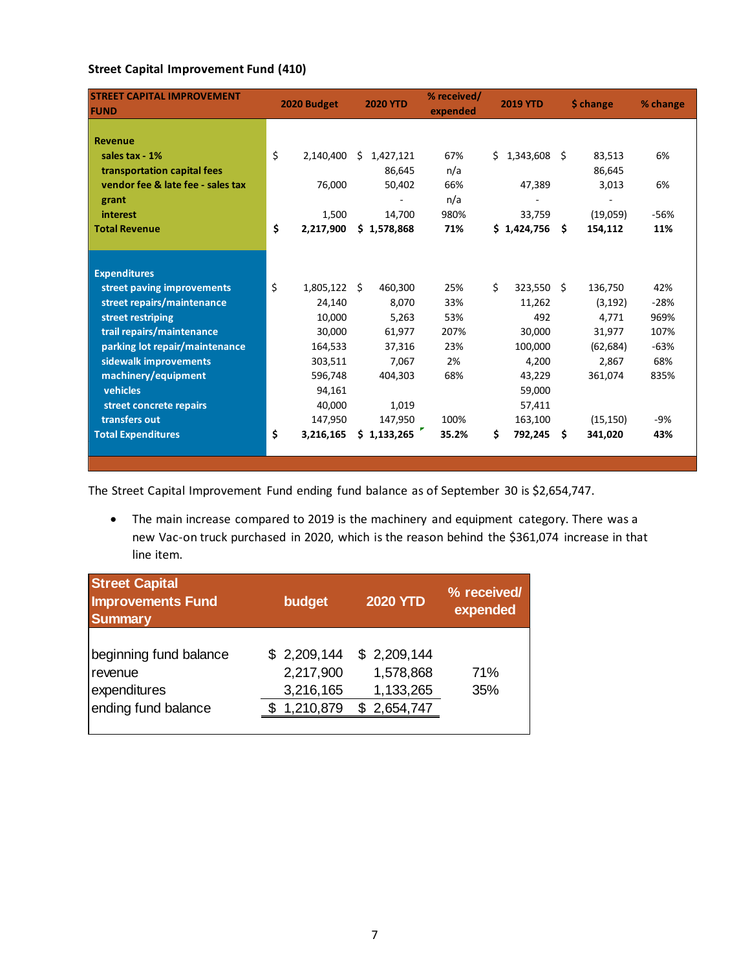## **Street Capital Improvement Fund (410)**

| <b>STREET CAPITAL IMPROVEMENT</b><br><b>FUND</b> | 2020 Budget     | <b>2020 YTD</b> | % received/<br>expended | <b>2019 YTD</b>  | \$ change     | % change |
|--------------------------------------------------|-----------------|-----------------|-------------------------|------------------|---------------|----------|
|                                                  |                 |                 |                         |                  |               |          |
| <b>Revenue</b>                                   |                 |                 |                         |                  |               |          |
| sales tax - 1%                                   | \$<br>2,140,400 | 1,427,121<br>Ŝ. | 67%                     | \$1,343,608\$    | 83,513        | 6%       |
| transportation capital fees                      |                 | 86,645          | n/a                     |                  | 86,645        |          |
| vendor fee & late fee - sales tax                | 76,000          | 50,402          | 66%                     | 47,389           | 3,013         | 6%       |
| grant                                            |                 |                 | n/a                     |                  |               |          |
| interest                                         | 1,500           | 14,700          | 980%                    | 33,759           | (19,059)      | $-56%$   |
| <b>Total Revenue</b>                             | \$<br>2,217,900 | \$1,578,868     | 71%                     | \$1,424,756      | Ŝ.<br>154,112 | 11%      |
|                                                  |                 |                 |                         |                  |               |          |
|                                                  |                 |                 |                         |                  |               |          |
| <b>Expenditures</b>                              |                 |                 |                         |                  |               |          |
| street paving improvements                       | \$<br>1,805,122 | 460,300<br>Ŝ    | 25%                     | \$<br>323,550 \$ | 136,750       | 42%      |
| street repairs/maintenance                       | 24,140          | 8,070           | 33%                     | 11,262           | (3, 192)      | $-28%$   |
| street restriping                                | 10,000          | 5,263           | 53%                     | 492              | 4,771         | 969%     |
| trail repairs/maintenance                        | 30,000          | 61,977          | 207%                    | 30,000           | 31,977        | 107%     |
| parking lot repair/maintenance                   | 164,533         | 37,316          | 23%                     | 100,000          | (62, 684)     | $-63%$   |
| sidewalk improvements                            | 303,511         | 7,067           | 2%                      | 4,200            | 2,867         | 68%      |
| machinery/equipment                              | 596,748         | 404,303         | 68%                     | 43,229           | 361,074       | 835%     |
| vehicles                                         | 94,161          |                 |                         | 59,000           |               |          |
| street concrete repairs                          | 40,000          | 1,019           |                         | 57,411           |               |          |
| transfers out                                    | 147,950         | 147,950         | 100%                    | 163,100          | (15, 150)     | -9%      |
| <b>Total Expenditures</b>                        | \$<br>3,216,165 | \$1,133,265     | 35.2%                   | \$<br>792,245 \$ | 341,020       | 43%      |
|                                                  |                 |                 |                         |                  |               |          |
|                                                  |                 |                 |                         |                  |               |          |

The Street Capital Improvement Fund ending fund balance as of September 30 is \$2,654,747.

 The main increase compared to 2019 is the machinery and equipment category. There was a new Vac-on truck purchased in 2020, which is the reason behind the \$361,074 increase in that line item.

| <b>Street Capital</b><br><b>Improvements Fund</b><br><b>Summary</b>      | budget                                             | <b>2020 YTD</b>                                         | % received/<br>expended |
|--------------------------------------------------------------------------|----------------------------------------------------|---------------------------------------------------------|-------------------------|
| beginning fund balance<br>revenue<br>expenditures<br>ending fund balance | \$2,209,144<br>2,217,900<br>3,216,165<br>1,210,879 | \$2,209,144<br>1,578,868<br>1,133,265<br>2,654,747<br>S | 71%<br>35%              |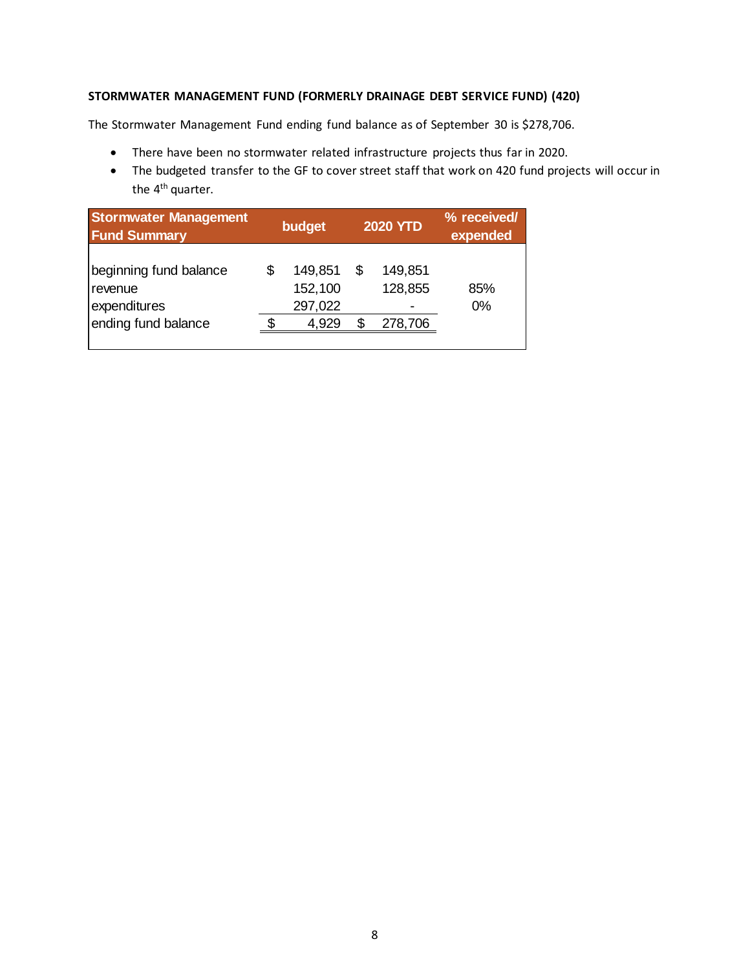### **STORMWATER MANAGEMENT FUND (FORMERLY DRAINAGE DEBT SERVICE FUND) (420)**

The Stormwater Management Fund ending fund balance as of September 30 is \$278,706.

- There have been no stormwater related infrastructure projects thus far in 2020.
- The budgeted transfer to the GF to cover street staff that work on 420 fund projects will occur in the 4<sup>th</sup> quarter.

| <b>Stormwater Management</b><br><b>Fund Summary</b> | budget                        |    | <b>2020 YTD</b>    | % received/<br>expended |
|-----------------------------------------------------|-------------------------------|----|--------------------|-------------------------|
| beginning fund balance<br>revenue<br>expenditures   | 149,851<br>152,100<br>297,022 | \$ | 149,851<br>128,855 | 85%<br>$0\%$            |
| ending fund balance                                 | 4,929                         | S. | 278,706            |                         |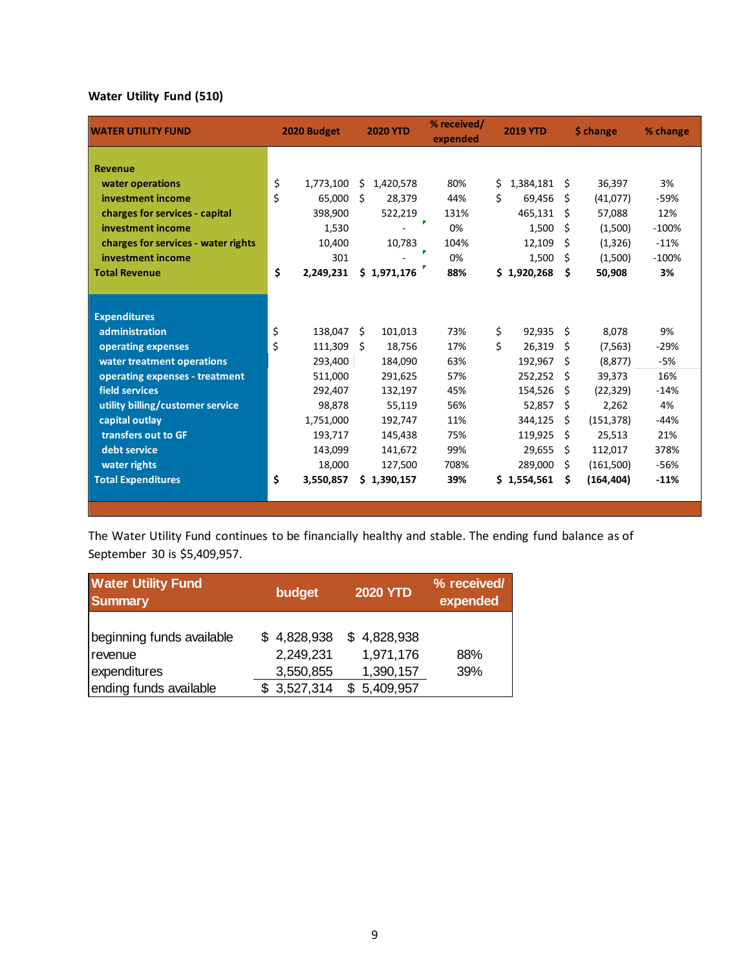# **Water Utility Fund (510)**

| <b>WATER UTILITY FUND</b>           | 2020 Budget     |    | <b>2020 YTD</b> | % received/<br>expended |     | <b>2019 YTD</b> |     | \$ change  | % change |
|-------------------------------------|-----------------|----|-----------------|-------------------------|-----|-----------------|-----|------------|----------|
| <b>Revenue</b>                      |                 |    |                 |                         |     |                 |     |            |          |
| water operations                    | \$<br>1,773,100 | \$ | 1,420,578       | 80%                     | \$  | 1,384,181       | -\$ | 36,397     | 3%       |
| investment income                   | \$<br>65.000    | Ŝ. | 28,379          | 44%                     | Ś.  | 69,456          | S   | (41,077)   | -59%     |
| charges for services - capital      | 398,900         |    | 522,219         | 131%<br>P               |     | 465,131         | Ŝ   | 57,088     | 12%      |
| investment income                   | 1,530           |    |                 | 0%                      |     | 1,500           | Ŝ   | (1,500)    | $-100%$  |
| charges for services - water rights | 10,400          |    | 10,783          | 104%<br>п               |     | 12,109          | Ś.  | (1, 326)   | $-11%$   |
| investment income                   | 301             |    |                 | 0%                      |     | 1,500           | Ŝ   | (1,500)    | $-100%$  |
| <b>Total Revenue</b>                | \$<br>2,249,231 |    | \$1,971,176     | 88%                     |     | \$1,920,268     | \$  | 50,908     | 3%       |
|                                     |                 |    |                 |                         |     |                 |     |            |          |
| <b>Expenditures</b>                 |                 |    |                 |                         |     |                 |     |            |          |
| administration                      | \$<br>138,047   | Ŝ. | 101,013         | 73%                     | \$. | 92,935          | Ŝ.  | 8,078      | 9%       |
| operating expenses                  | \$<br>111,309   | Ŝ. | 18,756          | 17%                     | Ś.  | 26,319          | Ŝ   | (7, 563)   | $-29%$   |
| water treatment operations          | 293,400         |    | 184,090         | 63%                     |     | 192,967         | Ŝ.  | (8, 877)   | $-5%$    |
| operating expenses - treatment      | 511,000         |    | 291,625         | 57%                     |     | 252,252         | S.  | 39,373     | 16%      |
| field services                      | 292,407         |    | 132,197         | 45%                     |     | 154,526         | S   | (22, 329)  | $-14%$   |
| utility billing/customer service    | 98,878          |    | 55,119          | 56%                     |     | 52,857          | S.  | 2,262      | 4%       |
| capital outlay                      | 1,751,000       |    | 192,747         | 11%                     |     | 344,125         | Ŝ   | (151, 378) | $-44%$   |
| transfers out to GF                 | 193,717         |    | 145,438         | 75%                     |     | 119,925         | Ŝ   | 25,513     | 21%      |
| debt service                        | 143,099         |    | 141,672         | 99%                     |     | 29,655          | Ŝ   | 112,017    | 378%     |
| water rights                        | 18,000          |    | 127,500         | 708%                    |     | 289,000         | Ŝ   | (161,500)  | -56%     |
| <b>Total Expenditures</b>           | \$<br>3,550,857 |    | \$1,390,157     | 39%                     |     | \$1,554,561     | Ŝ   | (164, 404) | $-11%$   |
|                                     |                 |    |                 |                         |     |                 |     |            |          |

The Water Utility Fund continues to be financially healthy and stable. The ending fund balance as of September 30 is \$5,409,957.

| <b>Water Utility Fund</b><br><b>Summary</b>                                    | budget                                               | <b>2020 YTD</b>                                    | % received/<br>expended |
|--------------------------------------------------------------------------------|------------------------------------------------------|----------------------------------------------------|-------------------------|
| beginning funds available<br>revenue<br>expenditures<br>ending funds available | \$4,828,938<br>2,249,231<br>3,550,855<br>\$3,527,314 | \$4,828,938<br>1,971,176<br>1,390,157<br>5,409,957 | 88%<br>39%              |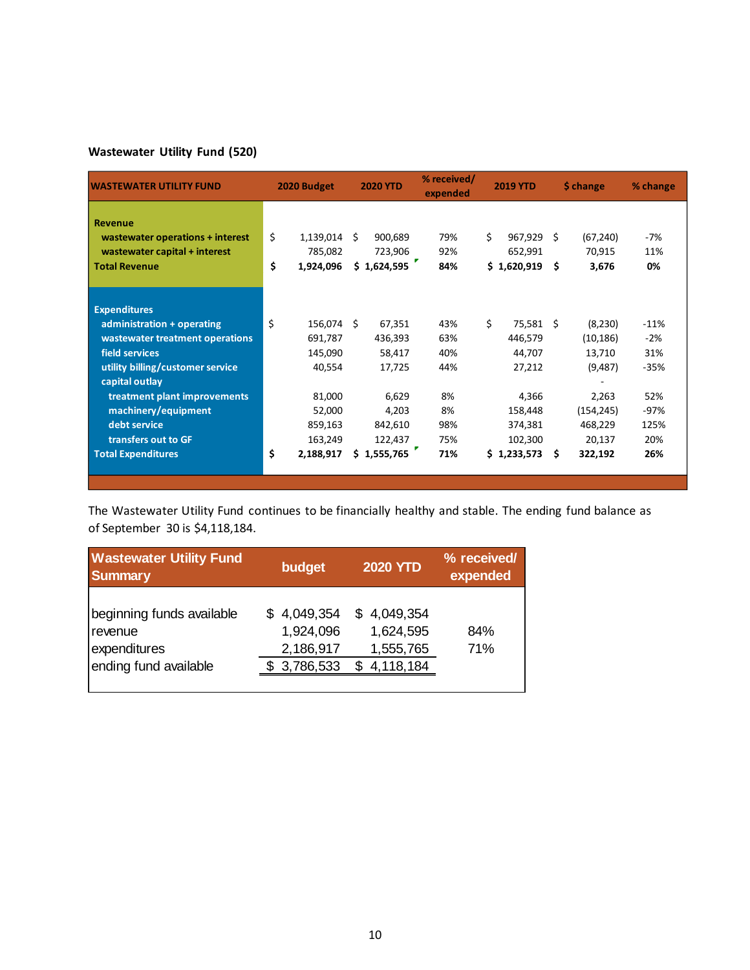# **Wastewater Utility Fund (520)**

| <b>IWASTEWATER UTILITY FUND</b>  | 2020 Budget      |    | <b>2020 YTD</b> | % received/<br>expended |    | <b>2019 YTD</b> |    | \$ change  | % change |
|----------------------------------|------------------|----|-----------------|-------------------------|----|-----------------|----|------------|----------|
| <b>Revenue</b>                   |                  |    |                 |                         |    |                 |    |            |          |
| wastewater operations + interest | \$<br>1,139,014  | -Ś | 900,689         | 79%                     | Ś. | 967,929 \$      |    | (67, 240)  | $-7%$    |
| wastewater capital + interest    | 785,082          |    | 723,906         | 92%                     |    | 652,991         |    | 70,915     | 11%      |
| <b>Total Revenue</b>             | \$<br>1,924,096  |    | \$1,624,595     | 84%                     |    | \$1,620,919     | Ŝ. | 3,676      | 0%       |
| <b>Expenditures</b>              |                  |    |                 |                         |    |                 |    |            |          |
| administration + operating       | \$<br>156,074 \$ |    | 67,351          | 43%                     | Ś. | 75,581 \$       |    | (8,230)    | $-11%$   |
| wastewater treatment operations  | 691,787          |    | 436,393         | 63%                     |    | 446,579         |    | (10, 186)  | $-2%$    |
| field services                   | 145,090          |    | 58,417          | 40%                     |    | 44,707          |    | 13,710     | 31%      |
| utility billing/customer service | 40,554           |    | 17,725          | 44%                     |    | 27,212          |    | (9,487)    | $-35%$   |
| capital outlay                   |                  |    |                 |                         |    |                 |    |            |          |
| treatment plant improvements     | 81,000           |    | 6,629           | 8%                      |    | 4,366           |    | 2,263      | 52%      |
| machinery/equipment              | 52,000           |    | 4,203           | 8%                      |    | 158,448         |    | (154, 245) | $-97%$   |
| debt service                     | 859,163          |    | 842,610         | 98%                     |    | 374,381         |    | 468,229    | 125%     |
| transfers out to GF              | 163,249          |    | 122,437         | 75%                     |    | 102,300         |    | 20,137     | 20%      |
| <b>Total Expenditures</b>        | \$<br>2,188,917  |    | \$1,555,765     | 71%                     |    | \$1,233,573     | s. | 322,192    | 26%      |
|                                  |                  |    |                 |                         |    |                 |    |            |          |
|                                  |                  |    |                 |                         |    |                 |    |            |          |

The Wastewater Utility Fund continues to be financially healthy and stable. The ending fund balance as of September 30 is \$4,118,184.

| <b>Wastewater Utility Fund</b><br><b>Summary</b>                              | budget                                               | <b>2020 YTD</b>                                              | % received/<br>expended |
|-------------------------------------------------------------------------------|------------------------------------------------------|--------------------------------------------------------------|-------------------------|
| beginning funds available<br>revenue<br>expenditures<br>ending fund available | \$4,049,354<br>1,924,096<br>2,186,917<br>\$3,786,533 | 4,049,354<br>SS.<br>1,624,595<br>1,555,765<br>4,118,184<br>S | 84%<br>71%              |